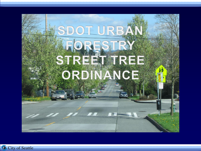

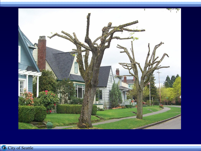

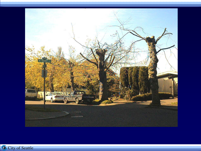

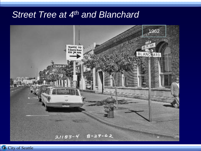# *Street Tree at 4th and Blanchard*



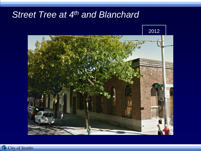# Street Tree at 4th and Blanchard



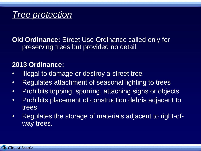**Old Ordinance:** Street Use Ordinance called only for preserving trees but provided no detail.

- Illegal to damage or destroy a street tree
- Regulates attachment of seasonal lighting to trees
- Prohibits topping, spurring, attaching signs or objects
- Prohibits placement of construction debris adjacent to trees
- Regulates the storage of materials adjacent to right-ofway trees.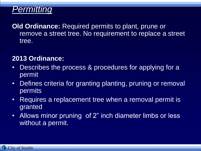### *Permitting*

**Old Ordinance:** Required permits to plant, prune or remove a street tree. No requirement to replace a street tree.

- Describes the process & procedures for applying for a permit
- Defines criteria for granting planting, pruning or removal permits
- Requires a replacement tree when a removal permit is granted
- Allows minor pruning of 2" inch diameter limbs or less without a permit.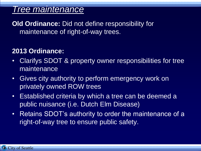### *Tree maintenance*

**Old Ordinance:** Did not define responsibility for maintenance of right-of-way trees.

- Clarifys SDOT & property owner responsibilities for tree maintenance
- Gives city authority to perform emergency work on privately owned ROW trees
- Established criteria by which a tree can be deemed a public nuisance (i.e. Dutch Elm Disease)
- Retains SDOT's authority to order the maintenance of a right-of-way tree to ensure public safety.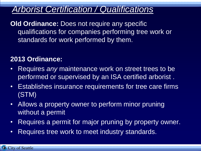## *Arborist Certification / Qualifications*

**Old Ordinance:** Does not require any specific qualifications for companies performing tree work or standards for work performed by them.

- Requires *any* maintenance work on street trees to be performed or supervised by an ISA certified arborist .
- Establishes insurance requirements for tree care firms (STM)
- Allows a property owner to perform minor pruning without a permit
- Requires a permit for major pruning by property owner.
- Requires tree work to meet industry standards.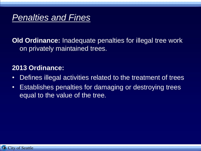

**Old Ordinance:** Inadequate penalties for illegal tree work on privately maintained trees.

- Defines illegal activities related to the treatment of trees
- Establishes penalties for damaging or destroying trees equal to the value of the tree.

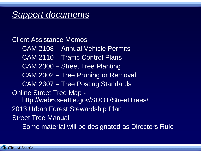## *Support documents*

Client Assistance Memos CAM 2108 – Annual Vehicle Permits CAM 2110 – Traffic Control Plans CAM 2300 – Street Tree Planting CAM 2302 – Tree Pruning or Removal CAM 2307 – Tree Posting Standards Online Street Tree Map http://web6.seattle.gov/SDOT/StreetTrees/ 2013 Urban Forest Stewardship Plan Street Tree Manual Some material will be designated as Directors Rule